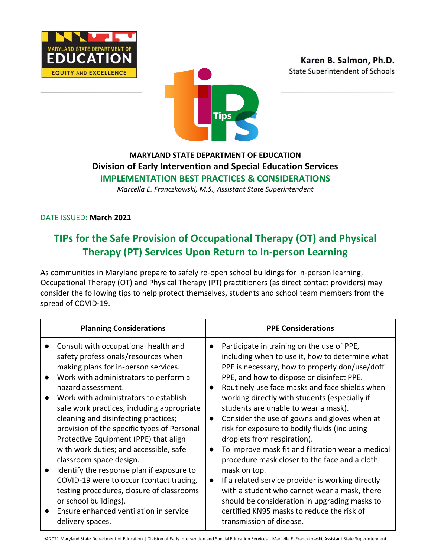



## **MARYLAND STATE DEPARTMENT OF EDUCATION Division of Early Intervention and Special Education Services IMPLEMENTATION BEST PRACTICES & CONSIDERATIONS**

*Marcella E. Franczkowski, M.S., Assistant State Superintendent*

DATE ISSUED: **March 2021**

# **TIPs for the Safe Provision of Occupational Therapy (OT) and Physical Therapy (PT) Services Upon Return to In-person Learning**

As communities in Maryland prepare to safely re-open school buildings for in-person learning, Occupational Therapy (OT) and Physical Therapy (PT) practitioners (as direct contact providers) may consider the following tips to help protect themselves, students and school team members from the spread of COVID-19.

| <b>Planning Considerations</b>                                                                                                                                                                                                                                                                                                                                                                                                                                                                                                                                                                                       | <b>PPE Considerations</b>                                                                                                                                                                                                                                                                                                                                                                                                                                                                                                                                                                                                                                                                                                                                           |
|----------------------------------------------------------------------------------------------------------------------------------------------------------------------------------------------------------------------------------------------------------------------------------------------------------------------------------------------------------------------------------------------------------------------------------------------------------------------------------------------------------------------------------------------------------------------------------------------------------------------|---------------------------------------------------------------------------------------------------------------------------------------------------------------------------------------------------------------------------------------------------------------------------------------------------------------------------------------------------------------------------------------------------------------------------------------------------------------------------------------------------------------------------------------------------------------------------------------------------------------------------------------------------------------------------------------------------------------------------------------------------------------------|
| Consult with occupational health and<br>safety professionals/resources when<br>making plans for in-person services.<br>Work with administrators to perform a<br>hazard assessment.<br>Work with administrators to establish<br>safe work practices, including appropriate<br>cleaning and disinfecting practices;<br>provision of the specific types of Personal<br>Protective Equipment (PPE) that align<br>with work duties; and accessible, safe<br>classroom space design.<br>Identify the response plan if exposure to<br>COVID-19 were to occur (contact tracing,<br>testing procedures, closure of classrooms | Participate in training on the use of PPE,<br>$\bullet$<br>including when to use it, how to determine what<br>PPE is necessary, how to properly don/use/doff<br>PPE, and how to dispose or disinfect PPE.<br>Routinely use face masks and face shields when<br>$\bullet$<br>working directly with students (especially if<br>students are unable to wear a mask).<br>Consider the use of gowns and gloves when at<br>$\bullet$<br>risk for exposure to bodily fluids (including<br>droplets from respiration).<br>To improve mask fit and filtration wear a medical<br>$\bullet$<br>procedure mask closer to the face and a cloth<br>mask on top.<br>If a related service provider is working directly<br>$\bullet$<br>with a student who cannot wear a mask, there |
| or school buildings).<br>Ensure enhanced ventilation in service<br>delivery spaces.                                                                                                                                                                                                                                                                                                                                                                                                                                                                                                                                  | should be consideration in upgrading masks to<br>certified KN95 masks to reduce the risk of<br>transmission of disease.                                                                                                                                                                                                                                                                                                                                                                                                                                                                                                                                                                                                                                             |

© 2021 Maryland State Department of Education | Division of Early Intervention and Special Education Services | Marcella E. Franczkowski, Assistant State Superintendent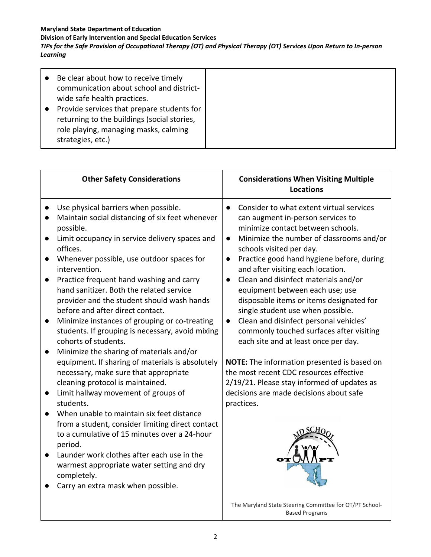### **Maryland State Department of Education**

**Division of Early Intervention and Special Education Services**

*TIPs for the Safe Provision of Occupational Therapy (OT) and Physical Therapy (OT) Services Upon Return to In-person Learning*

| <b>Other Safety Considerations</b>                                                                                                                                                                                                                                                                                                                                                                                                                                                                                                                                                                                                                                                                                                                                                                                                                                                                                                                                                                                                                                                                                          | <b>Considerations When Visiting Multiple</b><br><b>Locations</b>                                                                                                                                                                                                                                                                                                                                                                                                                                                                                                                                                                                                                                                                                                                                                                                              |
|-----------------------------------------------------------------------------------------------------------------------------------------------------------------------------------------------------------------------------------------------------------------------------------------------------------------------------------------------------------------------------------------------------------------------------------------------------------------------------------------------------------------------------------------------------------------------------------------------------------------------------------------------------------------------------------------------------------------------------------------------------------------------------------------------------------------------------------------------------------------------------------------------------------------------------------------------------------------------------------------------------------------------------------------------------------------------------------------------------------------------------|---------------------------------------------------------------------------------------------------------------------------------------------------------------------------------------------------------------------------------------------------------------------------------------------------------------------------------------------------------------------------------------------------------------------------------------------------------------------------------------------------------------------------------------------------------------------------------------------------------------------------------------------------------------------------------------------------------------------------------------------------------------------------------------------------------------------------------------------------------------|
| Use physical barriers when possible.<br>Maintain social distancing of six feet whenever<br>possible.<br>Limit occupancy in service delivery spaces and<br>$\bullet$<br>offices.<br>Whenever possible, use outdoor spaces for<br>intervention.<br>Practice frequent hand washing and carry<br>hand sanitizer. Both the related service<br>provider and the student should wash hands<br>before and after direct contact.<br>Minimize instances of grouping or co-treating<br>$\bullet$<br>students. If grouping is necessary, avoid mixing<br>cohorts of students.<br>Minimize the sharing of materials and/or<br>equipment. If sharing of materials is absolutely<br>necessary, make sure that appropriate<br>cleaning protocol is maintained.<br>Limit hallway movement of groups of<br>$\bullet$<br>students.<br>When unable to maintain six feet distance<br>from a student, consider limiting direct contact<br>to a cumulative of 15 minutes over a 24-hour<br>period.<br>Launder work clothes after each use in the<br>warmest appropriate water setting and dry<br>completely.<br>Carry an extra mask when possible. | Consider to what extent virtual services<br>can augment in-person services to<br>minimize contact between schools.<br>Minimize the number of classrooms and/or<br>$\bullet$<br>schools visited per day.<br>Practice good hand hygiene before, during<br>and after visiting each location.<br>Clean and disinfect materials and/or<br>equipment between each use; use<br>disposable items or items designated for<br>single student use when possible.<br>Clean and disinfect personal vehicles'<br>$\bullet$<br>commonly touched surfaces after visiting<br>each site and at least once per day.<br>NOTE: The information presented is based on<br>the most recent CDC resources effective<br>2/19/21. Please stay informed of updates as<br>decisions are made decisions about safe<br>practices.<br>The Maryland State Steering Committee for OT/PT School- |
|                                                                                                                                                                                                                                                                                                                                                                                                                                                                                                                                                                                                                                                                                                                                                                                                                                                                                                                                                                                                                                                                                                                             | <b>Based Programs</b>                                                                                                                                                                                                                                                                                                                                                                                                                                                                                                                                                                                                                                                                                                                                                                                                                                         |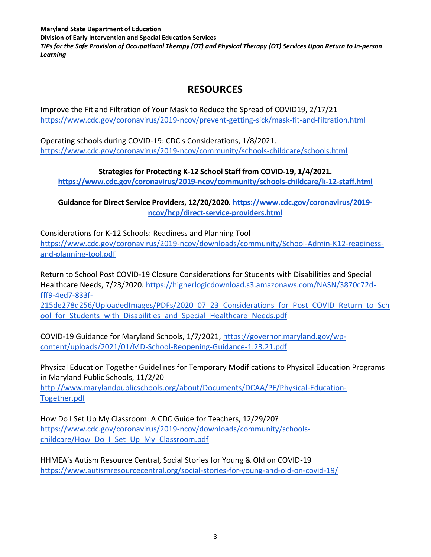**Maryland State Department of Education Division of Early Intervention and Special Education Services** *TIPs for the Safe Provision of Occupational Therapy (OT) and Physical Therapy (OT) Services Upon Return to In-person Learning*

## **RESOURCES**

Improve the Fit and Filtration of Your Mask to Reduce the Spread of COVID19, 2/17/21 <https://www.cdc.gov/coronavirus/2019-ncov/prevent-getting-sick/mask-fit-and-filtration.html>

Operating schools during COVID-19: CDC's Considerations, 1/8/2021. <https://www.cdc.gov/coronavirus/2019-ncov/community/schools-childcare/schools.html>

### **Strategies for Protecting K-12 School Staff from COVID-19, 1/4/2021.**

**<https://www.cdc.gov/coronavirus/2019-ncov/community/schools-childcare/k-12-staff.html>**

**Guidance for Direct Service Providers, 12/20/2020. [https://www.cdc.gov/coronavirus/2019](https://www.cdc.gov/coronavirus/2019-ncov/hcp/direct-service-providers.html) [ncov/hcp/direct-service-providers.html](https://www.cdc.gov/coronavirus/2019-ncov/hcp/direct-service-providers.html)**

Considerations for K-12 Schools: Readiness and Planning Tool [https://www.cdc.gov/coronavirus/2019-ncov/downloads/community/School-Admin-K12-readiness](https://www.cdc.gov/coronavirus/2019-ncov/downloads/community/School-Admin-K12-readiness-and-planning-tool.pdf)[and-planning-tool.pdf](https://www.cdc.gov/coronavirus/2019-ncov/downloads/community/School-Admin-K12-readiness-and-planning-tool.pdf)

Return to School Post COVID-19 Closure Considerations for Students with Disabilities and Special Healthcare Needs, 7/23/2020. [https://higherlogicdownload.s3.amazonaws.com/NASN/3870c72d](https://higherlogicdownload.s3.amazonaws.com/NASN/3870c72d-fff9-4ed7-833f-215de278d256/UploadedImages/PDFs/2020_07_23_Considerations_for_Post_COVID_Return_to_School_for_Students_with_Disabilities_and_Special_Healthcare_Needs.pdf)[fff9-4ed7-833f-](https://higherlogicdownload.s3.amazonaws.com/NASN/3870c72d-fff9-4ed7-833f-215de278d256/UploadedImages/PDFs/2020_07_23_Considerations_for_Post_COVID_Return_to_School_for_Students_with_Disabilities_and_Special_Healthcare_Needs.pdf)[215de278d256/UploadedImages/PDFs/2020\\_07\\_23\\_Considerations\\_for\\_Post\\_COVID\\_Return\\_to\\_Sch](https://higherlogicdownload.s3.amazonaws.com/NASN/3870c72d-fff9-4ed7-833f-215de278d256/UploadedImages/PDFs/2020_07_23_Considerations_for_Post_COVID_Return_to_School_for_Students_with_Disabilities_and_Special_Healthcare_Needs.pdf) ool for Students with Disabilities and Special Healthcare Needs.pdf

COVID-19 Guidance for Maryland Schools, 1/7/2021, [https://governor.maryland.gov/wp](https://governor.maryland.gov/wp-content/uploads/2021/01/MD-School-Reopening-Guidance-1.23.21.pdf)[content/uploads/2021/01/MD-School-Reopening-Guidance-1.23.21.pdf](https://governor.maryland.gov/wp-content/uploads/2021/01/MD-School-Reopening-Guidance-1.23.21.pdf)

Physical Education Together Guidelines for Temporary Modifications to Physical Education Programs in Maryland Public Schools, 11/2/20

[http://www.marylandpublicschools.org/about/Documents/DCAA/PE/Physical-Education-](http://www.marylandpublicschools.org/about/Documents/DCAA/PE/Physical-Education-Together.pdf)[Together.pdf](http://www.marylandpublicschools.org/about/Documents/DCAA/PE/Physical-Education-Together.pdf)

How Do I Set Up My Classroom: A CDC Guide for Teachers, 12/29/20? [https://www.cdc.gov/coronavirus/2019-ncov/downloads/community/schools](https://www.cdc.gov/coronavirus/2019-ncov/downloads/community/schools-childcare/How_Do_I_Set_Up_My_Classroom.pdf)[childcare/How\\_Do\\_I\\_Set\\_Up\\_My\\_Classroom.pdf](https://www.cdc.gov/coronavirus/2019-ncov/downloads/community/schools-childcare/How_Do_I_Set_Up_My_Classroom.pdf)

HHMEA's Autism Resource Central, Social Stories for Young & Old on COVID-19 <https://www.autismresourcecentral.org/social-stories-for-young-and-old-on-covid-19/>